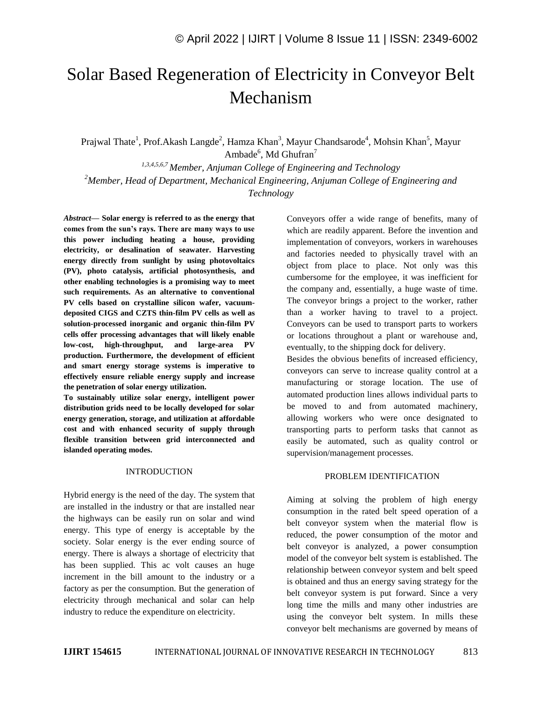# Solar Based Regeneration of Electricity in Conveyor Belt Mechanism

Prajwal Thate<sup>1</sup>, Prof.Akash Langde<sup>2</sup>, Hamza Khan<sup>3</sup>, Mayur Chandsarode<sup>4</sup>, Mohsin Khan<sup>5</sup>, Mayur Ambade<sup>6</sup>, Md Ghufran<sup>7</sup>

*1,3,4,5,6,7 Member, Anjuman College of Engineering and Technology <sup>2</sup>Member, Head of Department, Mechanical Engineering, Anjuman College of Engineering and Technology*

*Abstract—* **Solar energy is referred to as the energy that comes from the sun's rays. There are many ways to use this power including heating a house, providing electricity, or desalination of seawater. Harvesting energy directly from sunlight by using photovoltaics (PV), photo catalysis, artificial photosynthesis, and other enabling technologies is a promising way to meet such requirements. As an alternative to conventional PV cells based on crystalline silicon wafer, vacuumdeposited CIGS and CZTS thin-film PV cells as well as solution-processed inorganic and organic thin-film PV cells offer processing advantages that will likely enable low-cost, high-throughput, and large-area PV production. Furthermore, the development of efficient and smart energy storage systems is imperative to effectively ensure reliable energy supply and increase the penetration of solar energy utilization.** 

**To sustainably utilize solar energy, intelligent power distribution grids need to be locally developed for solar energy generation, storage, and utilization at affordable cost and with enhanced security of supply through flexible transition between grid interconnected and islanded operating modes.**

#### INTRODUCTION

Hybrid energy is the need of the day. The system that are installed in the industry or that are installed near the highways can be easily run on solar and wind energy. This type of energy is acceptable by the society. Solar energy is the ever ending source of energy. There is always a shortage of electricity that has been supplied. This ac volt causes an huge increment in the bill amount to the industry or a factory as per the consumption. But the generation of electricity through mechanical and solar can help industry to reduce the expenditure on electricity.

Conveyors offer a wide range of benefits, many of which are readily apparent. Before the invention and implementation of conveyors, workers in warehouses and factories needed to physically travel with an object from place to place. Not only was this cumbersome for the employee, it was inefficient for the company and, essentially, a huge waste of time. The conveyor brings a project to the worker, rather than a worker having to travel to a project. Conveyors can be used to transport parts to workers or locations throughout a plant or warehouse and, eventually, to the shipping dock for delivery.

Besides the obvious benefits of increased efficiency, conveyors can serve to increase quality control at a manufacturing or storage location. The use of automated production lines allows individual parts to be moved to and from automated machinery, allowing workers who were once designated to transporting parts to perform tasks that cannot as easily be automated, such as quality control or supervision/management processes.

## PROBLEM IDENTIFICATION

Aiming at solving the problem of high energy consumption in the rated belt speed operation of a belt conveyor system when the material flow is reduced, the power consumption of the motor and belt conveyor is analyzed, a power consumption model of the conveyor belt system is established. The relationship between conveyor system and belt speed is obtained and thus an energy saving strategy for the belt conveyor system is put forward. Since a very long time the mills and many other industries are using the conveyor belt system. In mills these conveyor belt mechanisms are governed by means of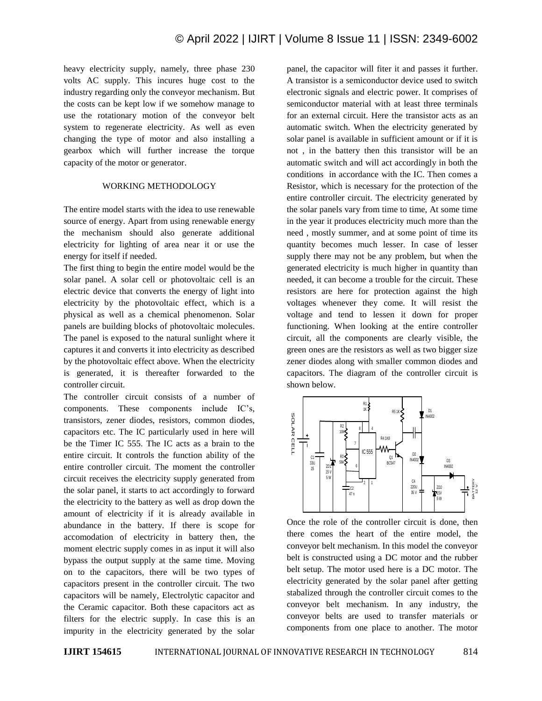heavy electricity supply, namely, three phase 230 volts AC supply. This incures huge cost to the industry regarding only the conveyor mechanism. But the costs can be kept low if we somehow manage to use the rotationary motion of the conveyor belt system to regenerate electricity. As well as even changing the type of motor and also installing a gearbox which will further increase the torque capacity of the motor or generator.

### WORKING METHODOLOGY

The entire model starts with the idea to use renewable source of energy. Apart from using renewable energy the mechanism should also generate additional electricity for lighting of area near it or use the energy for itself if needed.

The first thing to begin the entire model would be the solar panel. A solar cell or photovoltaic cell is an electric device that converts the energy of light into electricity by the photovoltaic effect, which is a physical as well as a chemical phenomenon. Solar panels are building blocks of photovoltaic molecules. The panel is exposed to the natural sunlight where it captures it and converts it into electricity as described by the photovoltaic effect above. When the electricity is generated, it is thereafter forwarded to the controller circuit.

The controller circuit consists of a number of components. These components include IC's, transistors, zener diodes, resistors, common diodes, capacitors etc. The IC particularly used in here will be the Timer IC 555. The IC acts as a brain to the entire circuit. It controls the function ability of the entire controller circuit. The moment the controller circuit receives the electricity supply generated from the solar panel, it starts to act accordingly to forward the electricity to the battery as well as drop down the amount of electricity if it is already available in abundance in the battery. If there is scope for accomodation of electricity in battery then, the moment electric supply comes in as input it will also bypass the output supply at the same time. Moving on to the capacitors, there will be two types of capacitors present in the controller circuit. The two capacitors will be namely, Electrolytic capacitor and the Ceramic capacitor. Both these capacitors act as filters for the electric supply. In case this is an impurity in the electricity generated by the solar panel, the capacitor will fiter it and passes it further. A transistor is a semiconductor device used to switch electronic signals and electric power. It comprises of semiconductor material with at least three terminals for an external circuit. Here the transistor acts as an automatic switch. When the electricity generated by solar panel is available in sufficient amount or if it is not , in the battery then this transistor will be an automatic switch and will act accordingly in both the conditions in accordance with the IC. Then comes a Resistor, which is necessary for the protection of the entire controller circuit. The electricity generated by the solar panels vary from time to time, At some time in the year it produces electricity much more than the need , mostly summer, and at some point of time its quantity becomes much lesser. In case of lesser supply there may not be any problem, but when the generated electricity is much higher in quantity than needed, it can become a trouble for the circuit. These resistors are here for protection against the high voltages whenever they come. It will resist the voltage and tend to lessen it down for proper functioning. When looking at the entire controller circuit, all the components are clearly visible, the green ones are the resistors as well as two bigger size zener diodes along with smaller common diodes and capacitors. The diagram of the controller circuit is shown below.



Once the role of the controller circuit is done, then there comes the heart of the entire model, the conveyor belt mechanism. In this model the conveyor belt is constructed using a DC motor and the rubber belt setup. The motor used here is a DC motor. The electricity generated by the solar panel after getting stabalized through the controller circuit comes to the conveyor belt mechanism. In any industry, the conveyor belts are used to transfer materials or components from one place to another. The motor